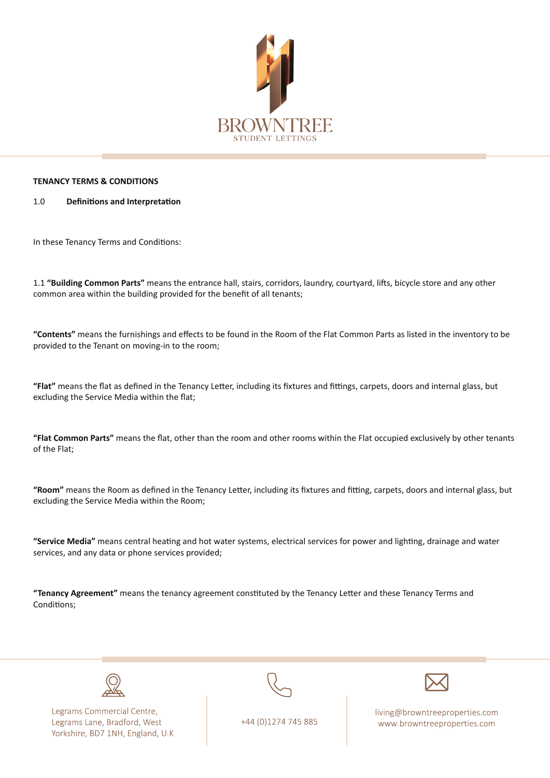

## **TENANCY TERMS & CONDITIONS**

## **1.0** Definitions and Interpretation

In these Tenancy Terms and Conditions:

1.1 "Building Common Parts" means the entrance hall, stairs, corridors, laundry, courtyard, lifts, bicycle store and any other common area within the building provided for the benefit of all tenants;

"Contents" means the furnishings and effects to be found in the Room of the Flat Common Parts as listed in the inventory to be provided to the Tenant on moving-in to the room;

"Flat" means the flat as defined in the Tenancy Letter, including its fixtures and fittings, carpets, doors and internal glass, but excluding the Service Media within the flat;

"Flat Common Parts" means the flat, other than the room and other rooms within the Flat occupied exclusively by other tenants of the Flat;

"Room" means the Room as defined in the Tenancy Letter, including its fixtures and fitting, carpets, doors and internal glass, but excluding the Service Media within the Room;

"Service Media" means central heating and hot water systems, electrical services for power and lighting, drainage and water services, and any data or phone services provided;

**"Tenancy Agreement"** means the tenancy agreement constituted by the Tenancy Letter and these Tenancy Terms and Conditions:



Legrams Commercial Centre, Legrams Lane, Bradford, West Yorkshire, BD7 1NH, England, U.K



+44 (0)1274 745 885

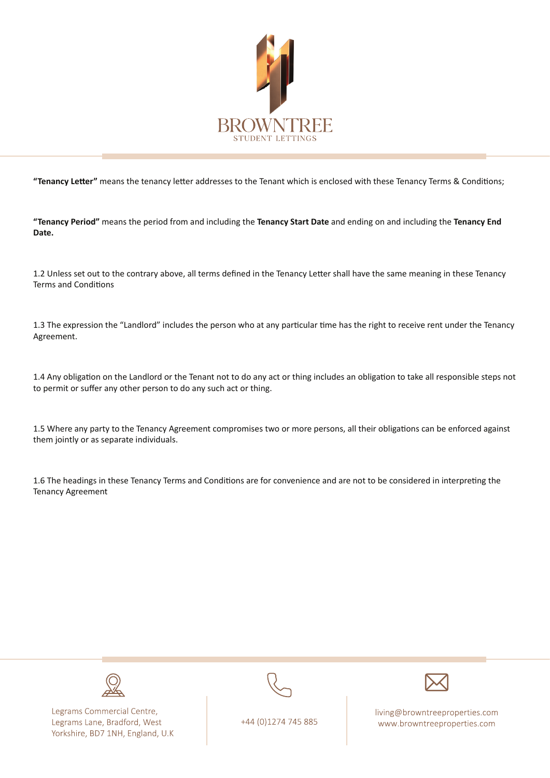

"Tenancy Letter" means the tenancy letter addresses to the Tenant which is enclosed with these Tenancy Terms & Conditions;

 **"Tenancy Period"** means the period from and including the Tenancy Start Date and ending on and including the Tenancy End **.Date**

1.2 Unless set out to the contrary above, all terms defined in the Tenancy Letter shall have the same meaning in these Tenancy Terms and Conditions

1.3 The expression the "Landlord" includes the person who at any particular time has the right to receive rent under the Tenancy .Agreement

1.4 Any obligation on the Landlord or the Tenant not to do any act or thing includes an obligation to take all responsible steps not to permit or suffer any other person to do any such act or thing.

1.5 Where any party to the Tenancy Agreement compromises two or more persons, all their obligations can be enforced against them jointly or as separate individuals.

1.6 The headings in these Tenancy Terms and Conditions are for convenience and are not to be considered in interpreting the **Tenancy Agreement** 



Legrams Commercial Centre, Legrams Lane, Bradford, West Yorkshire, BD7 1NH, England, U.K



+44 (0)1274 745 885

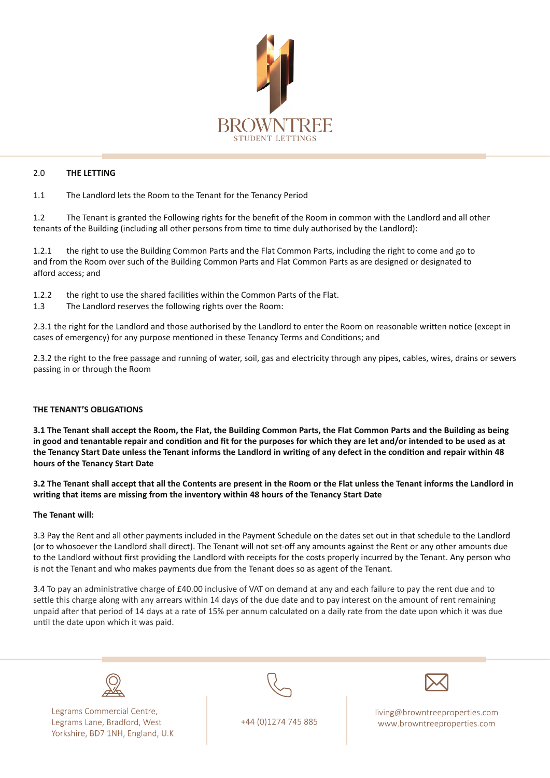

## 2.0 THE LETTING

1.1 The Landlord lets the Room to the Tenant for the Tenancy Period

1.2 The Tenant is granted the Following rights for the benefit of the Room in common with the Landlord and all other tenants of the Building (including all other persons from time to time duly authorised by the Landlord):

1.2.1 the right to use the Building Common Parts and the Flat Common Parts, including the right to come and go to and from the Room over such of the Building Common Parts and Flat Common Parts as are designed or designated to afford access: and

- 1.2.2 the right to use the shared facilities within the Common Parts of the Flat.
- 1.3 The Landlord reserves the following rights over the Room:

2.3.1 the right for the Landlord and those authorised by the Landlord to enter the Room on reasonable written notice (except in cases of emergency) for any purpose mentioned in these Tenancy Terms and Conditions; and

2.3.2 the right to the free passage and running of water, soil, gas and electricity through any pipes, cables, wires, drains or sewers passing in or through the Room

## **THE TENANT'S OBLIGATIONS**

 **3.1 The Tenant shall accept the Room, the Flat, the Building Common Parts, the Flat Common Parts and the Building as being** in good and tenantable repair and condition and fit for the purposes for which they are let and/or intended to be used as at the Tenancy Start Date unless the Tenant informs the Landlord in writing of any defect in the condition and repair within 48 **hours of the Tenancy Start Date** 

3.2 The Tenant shall accept that all the Contents are present in the Room or the Flat unless the Tenant informs the Landlord in writing that items are missing from the inventory within 48 hours of the Tenancy Start Date

#### **The Tenant will:**

3.3 Pay the Rent and all other payments included in the Payment Schedule on the dates set out in that schedule to the Landlord (or to whosoever the Landlord shall direct). The Tenant will not set-off any amounts against the Rent or any other amounts due to the Landlord without first providing the Landlord with receipts for the costs properly incurred by the Tenant. Any person who is not the Tenant and who makes payments due from the Tenant does so as agent of the Tenant.

3.4 To pay an administrative charge of £40.00 inclusive of VAT on demand at any and each failure to pay the rent due and to settle this charge along with any arrears within 14 days of the due date and to pay interest on the amount of rent remaining unpaid after that period of 14 days at a rate of 15% per annum calculated on a daily rate from the date upon which it was due until the date upon which it was paid.

Legrams Commercial Centre, Legrams Lane, Bradford, West Yorkshire, BD7 1NH, England, U.K



+44 (0)1274 745 885

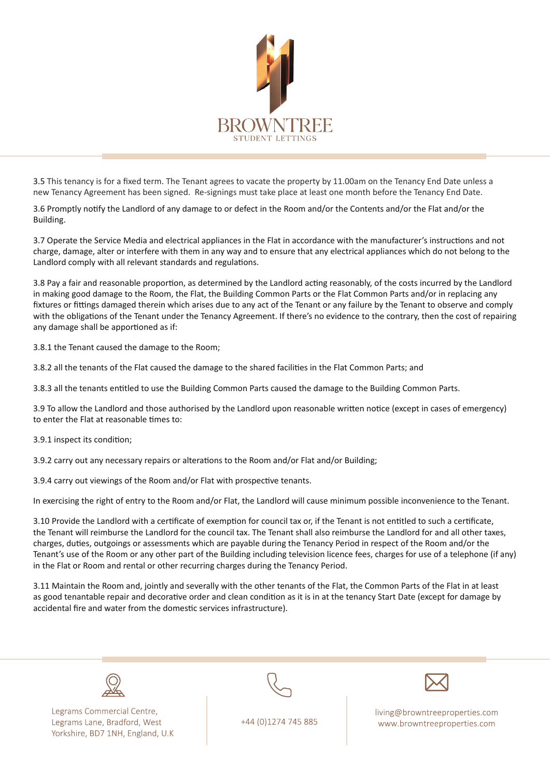

3.5 This tenancy is for a fixed term. The Tenant agrees to vacate the property by 11.00 am on the Tenancy End Date unless a new Tenancy Agreement has been signed. Re-signings must take place at least one month before the Tenancy End Date.

3.6 Promptly notify the Landlord of any damage to or defect in the Room and/or the Contents and/or the Flat and/or the .Building

3.7 Operate the Service Media and electrical appliances in the Flat in accordance with the manufacturer's instructions and not charge, damage, alter or interfere with them in any way and to ensure that any electrical appliances which do not belong to the Landlord comply with all relevant standards and regulations.

3.8 Pay a fair and reasonable proportion, as determined by the Landlord acting reasonably, of the costs incurred by the Landlord in making good damage to the Room, the Flat, the Building Common Parts or the Flat Common Parts and/or in replacing any fixtures or fittings damaged therein which arises due to any act of the Tenant or any failure by the Tenant to observe and comply with the obligations of the Tenant under the Tenancy Agreement. If there's no evidence to the contrary, then the cost of repairing any damage shall be apportioned as if:

3.8.1 the Tenant caused the damage to the Room;

3.8.2 all the tenants of the Flat caused the damage to the shared facilities in the Flat Common Parts; and

3.8.3 all the tenants entitled to use the Building Common Parts caused the damage to the Building Common Parts.

3.9 To allow the Landlord and those authorised by the Landlord upon reasonable written notice (except in cases of emergency) to enter the Flat at reasonable times to:

3.9.1 inspect its condition;

3.9.2 carry out any necessary repairs or alterations to the Room and/or Flat and/or Building;

3.9.4 carry out viewings of the Room and/or Flat with prospective tenants.

In exercising the right of entry to the Room and/or Flat, the Landlord will cause minimum possible inconvenience to the Tenant.

3.10 Provide the Landlord with a certificate of exemption for council tax or, if the Tenant is not entitled to such a certificate, the Tenant will reimburse the Landlord for the council tax. The Tenant shall also reimburse the Landlord for and all other taxes, charges, duties, outgoings or assessments which are payable during the Tenancy Period in respect of the Room and/or the Tenant's use of the Room or any other part of the Building including television licence fees, charges for use of a telephone (if any) in the Flat or Room and rental or other recurring charges during the Tenancy Period.

3.11 Maintain the Room and, jointly and severally with the other tenants of the Flat, the Common Parts of the Flat in at least as good tenantable repair and decorative order and clean condition as it is in at the tenancy Start Date (except for damage by accidental fire and water from the domestic services infrastructure).



Legrams Commercial Centre, Legrams Lane, Bradford, West Yorkshire, BD7 1NH, England, U.K



+44 (0)1274 745 885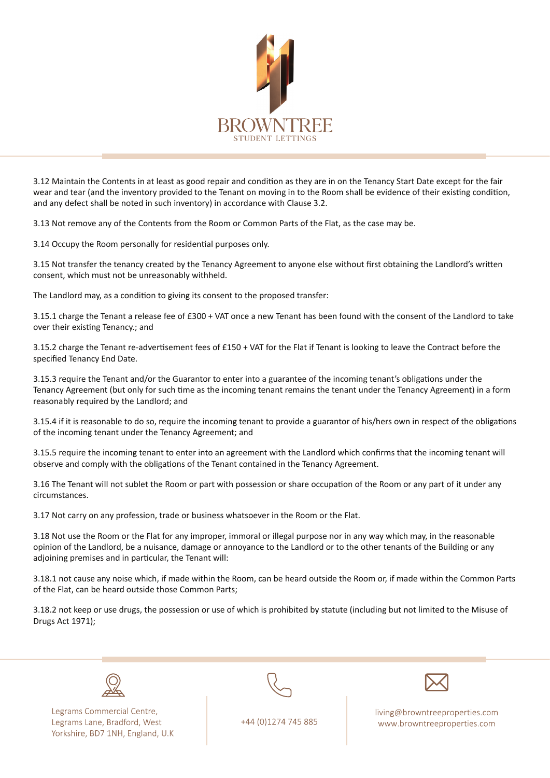

3.12 Maintain the Contents in at least as good repair and condition as they are in on the Tenancy Start Date except for the fair wear and tear (and the inventory provided to the Tenant on moving in to the Room shall be evidence of their existing condition, and any defect shall be noted in such inventory) in accordance with Clause 3.2.

3.13 Not remove any of the Contents from the Room or Common Parts of the Flat, as the case may be.

3.14 Occupy the Room personally for residential purposes only.

3.15 Not transfer the tenancy created by the Tenancy Agreement to anyone else without first obtaining the Landlord's written consent, which must not be unreasonably withheld.

The Landlord may, as a condition to giving its consent to the proposed transfer:

3.15.1 charge the Tenant a release fee of £300 + VAT once a new Tenant has been found with the consent of the Landlord to take over their existing Tenancy .; and

3.15.2 charge the Tenant re-advertisement fees of £150 + VAT for the Flat if Tenant is looking to leave the Contract before the specified Tenancy End Date.

3.15.3 require the Tenant and/or the Guarantor to enter into a guarantee of the incoming tenant's obligations under the Tenancy Agreement (but only for such time as the incoming tenant remains the tenant under the Tenancy Agreement) in a form reasonably required by the Landlord: and

3.15.4 if it is reasonable to do so, require the incoming tenant to provide a guarantor of his/hers own in respect of the obligations of the incoming tenant under the Tenancy Agreement; and

3.15.5 require the incoming tenant to enter into an agreement with the Landlord which confirms that the incoming tenant will observe and comply with the obligations of the Tenant contained in the Tenancy Agreement.

3.16 The Tenant will not sublet the Room or part with possession or share occupation of the Room or any part of it under any .circumstances

3.17 Not carry on any profession, trade or business whatsoever in the Room or the Flat.

3.18 Not use the Room or the Flat for any improper, immoral or illegal purpose nor in any way which may, in the reasonable opinion of the Landlord, be a nuisance, damage or annoyance to the Landlord or to the other tenants of the Building or any adjoining premises and in particular, the Tenant will:

3.18.1 not cause any noise which, if made within the Room, can be heard outside the Room or, if made within the Common Parts of the Flat, can be heard outside those Common Parts;

3.18.2 not keep or use drugs, the possession or use of which is prohibited by statute (including but not limited to the Misuse of Drugs Act 1971);



Legrams Commercial Centre, Legrams Lane, Bradford, West Yorkshire, BD7 1NH, England, U.K



+44 (0)1274 745 885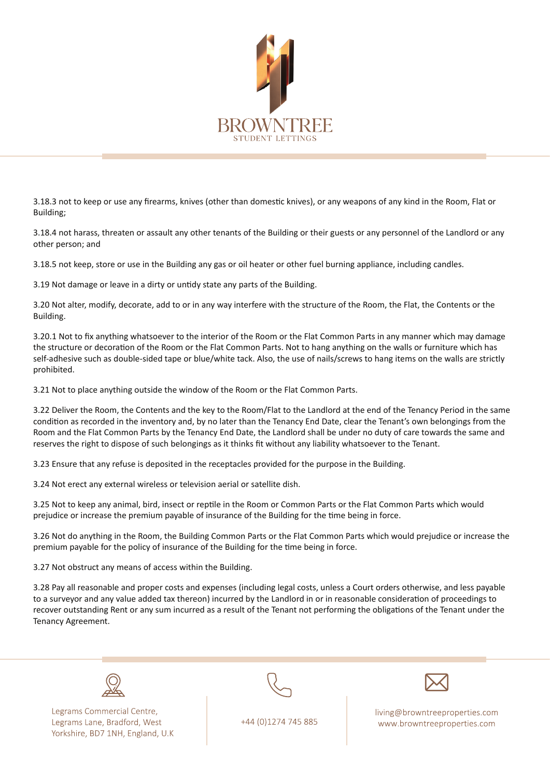

3.18.3 not to keep or use any firearms, knives (other than domestic knives), or any weapons of any kind in the Room, Flat or Building;

3.18.4 not harass, threaten or assault any other tenants of the Building or their guests or any personnel of the Landlord or any other person: and

3.18.5 not keep, store or use in the Building any gas or oil heater or other fuel burning appliance, including candles.

3.19 Not damage or leave in a dirty or untidy state any parts of the Building.

3.20 Not alter, modify, decorate, add to or in any way interfere with the structure of the Room, the Flat, the Contents or the .Building

3.20.1 Not to fix anything whatsoever to the interior of the Room or the Flat Common Parts in any manner which may damage the structure or decoration of the Room or the Flat Common Parts. Not to hang anything on the walls or furniture which has self-adhesive such as double-sided tape or blue/white tack. Also, the use of nails/screws to hang items on the walls are strictly .prohibited

3.21 Not to place anything outside the window of the Room or the Flat Common Parts.

3.22 Deliver the Room, the Contents and the key to the Room/Flat to the Landlord at the end of the Tenancy Period in the same condition as recorded in the inventory and, by no later than the Tenancy End Date, clear the Tenant's own belongings from the Room and the Flat Common Parts by the Tenancy End Date, the Landlord shall be under no duty of care towards the same and reserves the right to dispose of such belongings as it thinks fit without any liability whatsoever to the Tenant.

3.23 Ensure that any refuse is deposited in the receptacles provided for the purpose in the Building.

3.24 Not erect any external wireless or television aerial or satellite dish.

3.25 Not to keep any animal, bird, insect or reptile in the Room or Common Parts or the Flat Common Parts which would prejudice or increase the premium payable of insurance of the Building for the time being in force.

3.26 Not do anything in the Room, the Building Common Parts or the Flat Common Parts which would prejudice or increase the premium payable for the policy of insurance of the Building for the time being in force.

3.27 Not obstruct any means of access within the Building.

3.28 Pay all reasonable and proper costs and expenses (including legal costs, unless a Court orders otherwise, and less payable to a surveyor and any value added tax thereon) incurred by the Landlord in or in reasonable consideration of proceedings to recover outstanding Rent or any sum incurred as a result of the Tenant not performing the obligations of the Tenant under the Tenancy Agreement.



Legrams Commercial Centre, Legrams Lane, Bradford, West Yorkshire, BD7 1NH, England, U.K



+44 (0)1274 745 885

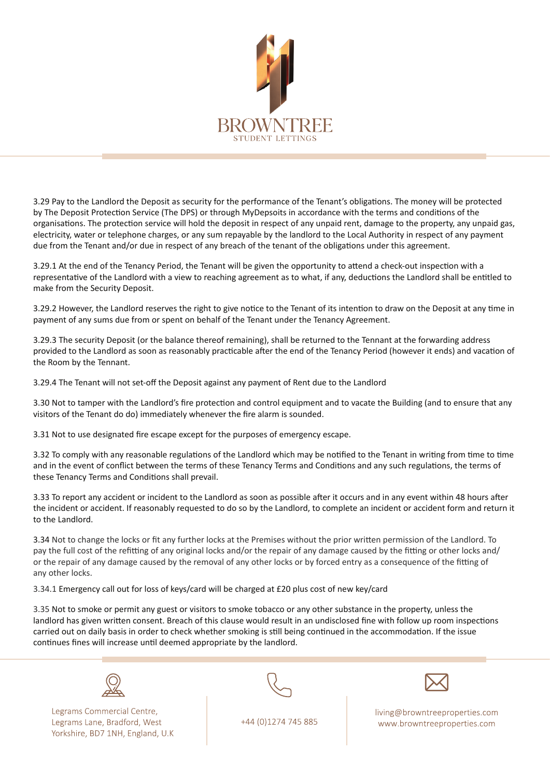

3.29 Pay to the Landlord the Deposit as security for the performance of the Tenant's obligations. The money will be protected by The Deposit Protection Service (The DPS) or through MyDepsoits in accordance with the terms and conditions of the organisations. The protection service will hold the deposit in respect of any unpaid rent, damage to the property, any unpaid gas, electricity, water or telephone charges, or any sum repayable by the landlord to the Local Authority in respect of any payment due from the Tenant and/or due in respect of any breach of the tenant of the obligations under this agreement.

3.29.1 At the end of the Tenancy Period, the Tenant will be given the opportunity to attend a check-out inspection with a representative of the Landlord with a view to reaching agreement as to what, if any, deductions the Landlord shall be entitled to make from the Security Deposit.

3.29.2 However, the Landlord reserves the right to give notice to the Tenant of its intention to draw on the Deposit at any time in payment of any sums due from or spent on behalf of the Tenant under the Tenancy Agreement.

3.29.3 The security Deposit (or the balance thereof remaining), shall be returned to the Tennant at the forwarding address provided to the Landlord as soon as reasonably practicable after the end of the Tenancy Period (however it ends) and vacation of the Room by the Tennant.

3.29.4 The Tenant will not set-off the Deposit against any payment of Rent due to the Landlord

3.30 Not to tamper with the Landlord's fire protection and control equipment and to vacate the Building (and to ensure that any visitors of the Tenant do do) immediately whenever the fire alarm is sounded.

3.31 Not to use designated fire escape except for the purposes of emergency escape.

3.32 To comply with any reasonable regulations of the Landlord which may be notified to the Tenant in writing from time to time and in the event of conflict between the terms of these Tenancy Terms and Conditions and any such regulations, the terms of these Tenancy Terms and Conditions shall prevail.

3.33 To report any accident or incident to the Landlord as soon as possible after it occurs and in any event within 48 hours after the incident or accident. If reasonably requested to do so by the Landlord, to complete an incident or accident form and return it to the Landlord.

3.34 Not to change the locks or fit any further locks at the Premises without the prior written permission of the Landlord. To pay the full cost of the refitting of any original locks and/or the repair of any damage caused by the fitting or other locks and/ or the repair of any damage caused by the removal of any other locks or by forced entry as a consequence of the fitting of any other locks.

3.34.1 Emergency call out for loss of keys/card will be charged at £20 plus cost of new key/card

3.35 Not to smoke or permit any guest or visitors to smoke tobacco or any other substance in the property, unless the landlord has given written consent. Breach of this clause would result in an undisclosed fine with follow up room inspections carried out on daily basis in order to check whether smoking is still being continued in the accommodation. If the issue continues fines will increase until deemed appropriate by the landlord.



Legrams Commercial Centre, Legrams Lane, Bradford, West Yorkshire, BD7 1NH, England, U.K



+44 (0)1274 745 885

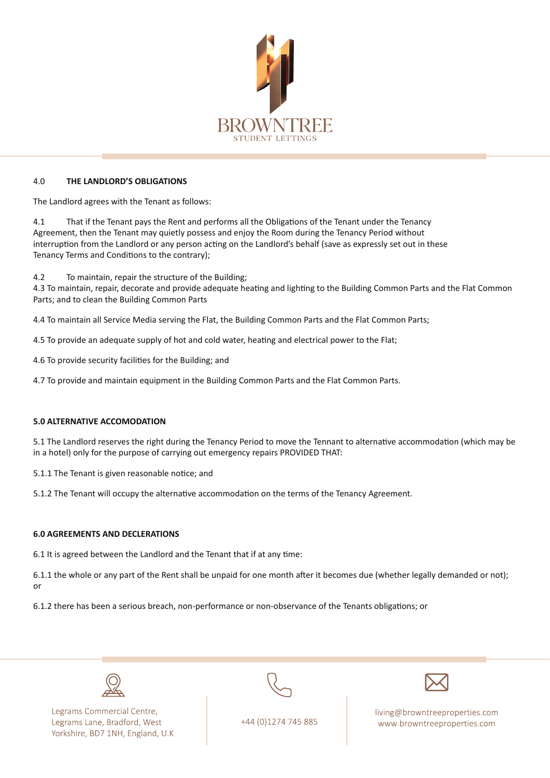

## **4.0 THE LANDLORD'S OBLIGATIONS**

The Landlord agrees with the Tenant as follows:

4.1 That if the Tenant pays the Rent and performs all the Obligations of the Tenant under the Tenancy Agreement, then the Tenant may quietly possess and enjoy the Room during the Tenancy Period without interruption from the Landlord or any person acting on the Landlord's behalf (save as expressly set out in these Tenancy Terms and Conditions to the contrary);

4.2 To maintain, repair the structure of the Building;

4.3 To maintain, repair, decorate and provide adequate heating and lighting to the Building Common Parts and the Flat Common Parts; and to clean the Building Common Parts

4.4 To maintain all Service Media serving the Flat, the Building Common Parts and the Flat Common Parts;

4.5 To provide an adequate supply of hot and cold water, heating and electrical power to the Flat;

4.6 To provide security facilities for the Building; and

4.7 To provide and maintain equipment in the Building Common Parts and the Flat Common Parts.

### **5.0 ALTERNATIVE ACCOMODATION**

5.1 The Landlord reserves the right during the Tenancy Period to move the Tennant to alternative accommodation (which may be in a hotel) only for the purpose of carrying out emergency repairs PROVIDED THAT:

5.1.1 The Tenant is given reasonable notice; and

5.1.2 The Tenant will occupy the alternative accommodation on the terms of the Tenancy Agreement.

## **6.0 AGREEMENTS AND DECLERATIONS**

6.1 It is agreed between the Landlord and the Tenant that if at any time:

6.1.1 the whole or any part of the Rent shall be unpaid for one month after it becomes due (whether legally demanded or not); or

6.1.2 there has been a serious breach, non-performance or non-observance of the Tenants obligations; or



Legrams Commercial Centre, Legrams Lane, Bradford, West Yorkshire, BD7 1NH, England, U.K





+44 (0)1274 745 885